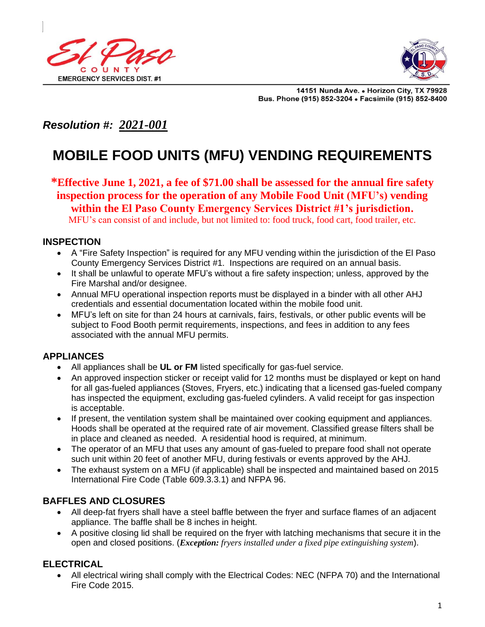



14151 Nunda Ave. . Horizon City, TX 79928 Bus. Phone (915) 852-3204 . Facsimile (915) 852-8400

# *Resolution #: 2021-001*

# **MOBILE FOOD UNITS (MFU) VENDING REQUIREMENTS**

**\*Effective June 1, 2021, a fee of \$71.00 shall be assessed for the annual fire safety inspection process for the operation of any Mobile Food Unit (MFU's) vending within the El Paso County Emergency Services District #1's jurisdiction.**  MFU's can consist of and include, but not limited to: food truck, food cart, food trailer, etc.

#### **INSPECTION**

- A "Fire Safety Inspection" is required for any MFU vending within the jurisdiction of the El Paso County Emergency Services District #1. Inspections are required on an annual basis.
- It shall be unlawful to operate MFU's without a fire safety inspection; unless, approved by the Fire Marshal and/or designee.
- Annual MFU operational inspection reports must be displayed in a binder with all other AHJ credentials and essential documentation located within the mobile food unit.
- MFU's left on site for than 24 hours at carnivals, fairs, festivals, or other public events will be subject to Food Booth permit requirements, inspections, and fees in addition to any fees associated with the annual MFU permits.

## **APPLIANCES**

- All appliances shall be **UL or FM** listed specifically for gas-fuel service.
- An approved inspection sticker or receipt valid for 12 months must be displayed or kept on hand for all gas-fueled appliances (Stoves, Fryers, etc.) indicating that a licensed gas-fueled company has inspected the equipment, excluding gas-fueled cylinders. A valid receipt for gas inspection is acceptable.
- If present, the ventilation system shall be maintained over cooking equipment and appliances. Hoods shall be operated at the required rate of air movement. Classified grease filters shall be in place and cleaned as needed. A residential hood is required, at minimum.
- The operator of an MFU that uses any amount of gas-fueled to prepare food shall not operate such unit within 20 feet of another MFU, during festivals or events approved by the AHJ.
- The exhaust system on a MFU (if applicable) shall be inspected and maintained based on 2015 International Fire Code (Table 609.3.3.1) and NFPA 96.

#### **BAFFLES AND CLOSURES**

- All deep-fat fryers shall have a steel baffle between the fryer and surface flames of an adjacent appliance. The baffle shall be 8 inches in height.
- A positive closing lid shall be required on the fryer with latching mechanisms that secure it in the open and closed positions. (*Exception: fryers installed under a fixed pipe extinguishing system*).

#### **ELECTRICAL**

• All electrical wiring shall comply with the Electrical Codes: NEC (NFPA 70) and the International Fire Code 2015.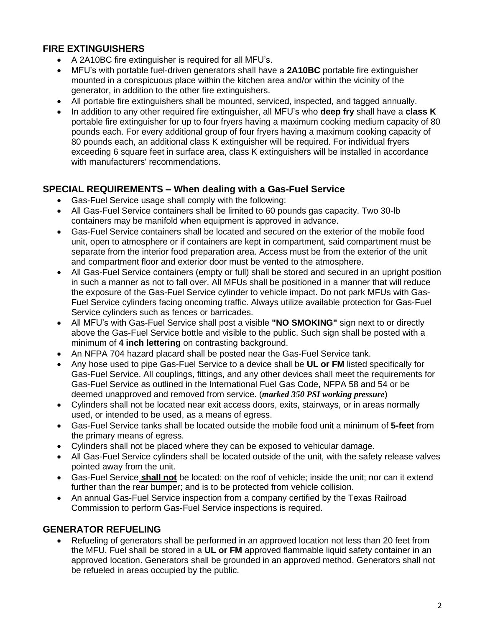# **FIRE EXTINGUISHERS**

- A 2A10BC fire extinguisher is required for all MFU's.
- MFU's with portable fuel-driven generators shall have a **2A10BC** portable fire extinguisher mounted in a conspicuous place within the kitchen area and/or within the vicinity of the generator, in addition to the other fire extinguishers.
- All portable fire extinguishers shall be mounted, serviced, inspected, and tagged annually.
- In addition to any other required fire extinguisher, all MFU's who **deep fry** shall have a **class K**  portable fire extinguisher for up to four fryers having a maximum cooking medium capacity of 80 pounds each. For every additional group of four fryers having a maximum cooking capacity of 80 pounds each, an additional class K extinguisher will be required. For individual fryers exceeding 6 square feet in surface area, class K extinguishers will be installed in accordance with manufacturers' recommendations.

#### **SPECIAL REQUIREMENTS – When dealing with a Gas-Fuel Service**

- Gas-Fuel Service usage shall comply with the following:
- All Gas-Fuel Service containers shall be limited to 60 pounds gas capacity. Two 30-lb containers may be manifold when equipment is approved in advance.
- Gas-Fuel Service containers shall be located and secured on the exterior of the mobile food unit, open to atmosphere or if containers are kept in compartment, said compartment must be separate from the interior food preparation area. Access must be from the exterior of the unit and compartment floor and exterior door must be vented to the atmosphere.
- All Gas-Fuel Service containers (empty or full) shall be stored and secured in an upright position in such a manner as not to fall over. All MFUs shall be positioned in a manner that will reduce the exposure of the Gas-Fuel Service cylinder to vehicle impact. Do not park MFUs with Gas-Fuel Service cylinders facing oncoming traffic. Always utilize available protection for Gas-Fuel Service cylinders such as fences or barricades.
- All MFU's with Gas-Fuel Service shall post a visible **"NO SMOKING"** sign next to or directly above the Gas-Fuel Service bottle and visible to the public. Such sign shall be posted with a minimum of **4 inch lettering** on contrasting background.
- An NFPA 704 hazard placard shall be posted near the Gas-Fuel Service tank.
- Any hose used to pipe Gas-Fuel Service to a device shall be **UL or FM** listed specifically for Gas-Fuel Service. All couplings, fittings, and any other devices shall meet the requirements for Gas-Fuel Service as outlined in the International Fuel Gas Code, NFPA 58 and 54 or be deemed unapproved and removed from service. (*marked 350 PSI working pressure*)
- Cylinders shall not be located near exit access doors, exits, stairways, or in areas normally used, or intended to be used, as a means of egress.
- Gas-Fuel Service tanks shall be located outside the mobile food unit a minimum of **5-feet** from the primary means of egress.
- Cylinders shall not be placed where they can be exposed to vehicular damage.
- All Gas-Fuel Service cylinders shall be located outside of the unit, with the safety release valves pointed away from the unit.
- Gas-Fuel Service **shall not** be located: on the roof of vehicle; inside the unit; nor can it extend further than the rear bumper; and is to be protected from vehicle collision.
- An annual Gas-Fuel Service inspection from a company certified by the Texas Railroad Commission to perform Gas-Fuel Service inspections is required.

#### **GENERATOR REFUELING**

• Refueling of generators shall be performed in an approved location not less than 20 feet from the MFU. Fuel shall be stored in a **UL or FM** approved flammable liquid safety container in an approved location. Generators shall be grounded in an approved method. Generators shall not be refueled in areas occupied by the public.